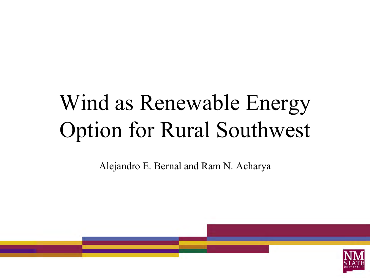## Wind as Renewable Energy Option for Rural Southwest

Alejandro E. Bernal and Ram N. Acharya

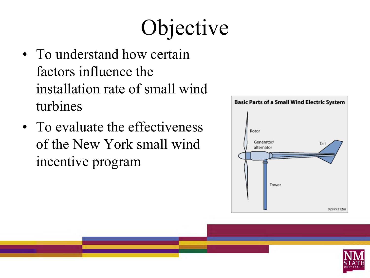# Objective

- To understand how certain factors influence the installation rate of small wind turbines
- To evaluate the effectiveness of the New York small wind incentive program



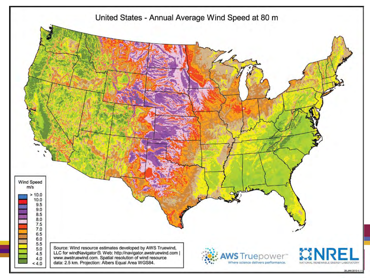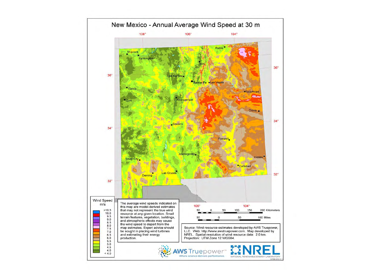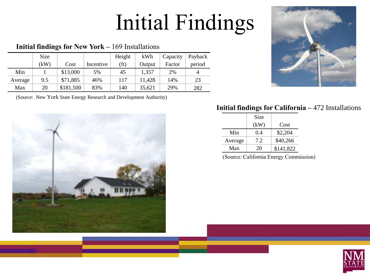## Initial Findings

#### **Initial findings for New York –** 169 Installations

|         | Size |           |           | Height            | kWh    | Capacity | Payback |
|---------|------|-----------|-----------|-------------------|--------|----------|---------|
|         | (kW) | Cost      | Incentive | (f <sub>t</sub> ) | Output | Factor   | period  |
| Min     |      | \$13,000  | 5%        | 45                | 1,357  | 2%       | 4       |
| Average | 9.5  | \$71,885  | 46%       | 117               | 11,428 | 14%      | 23      |
| Max     | 20   | \$181,500 | 83%       | 140               | 35,621 | 29%      | 282     |

(Source: New York State Energy Research and Development Authority)





#### **Initial findings for California –** 472 Installations

|         | Size |           |
|---------|------|-----------|
|         | (kW) | Cost      |
| Min     | 0.4  | \$2,204   |
| Average | 7.2  | \$40,266  |
| Max     | 20   | \$141,822 |

(Source: California Energy Commission)

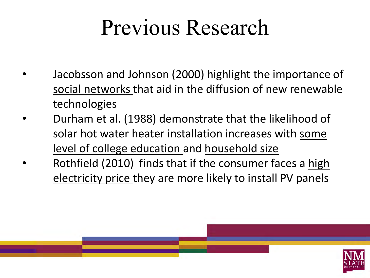## Previous Research

- Jacobsson and Johnson (2000) highlight the importance of social networks that aid in the diffusion of new renewable technologies
- Durham et al. (1988) demonstrate that the likelihood of solar hot water heater installation increases with some level of college education and household size
- Rothfield (2010) finds that if the consumer faces a high electricity price they are more likely to install PV panels

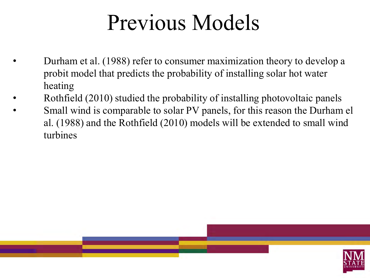## Previous Models

- Durham et al. (1988) refer to consumer maximization theory to develop a probit model that predicts the probability of installing solar hot water heating
- Rothfield (2010) studied the probability of installing photovoltaic panels
- Small wind is comparable to solar PV panels, for this reason the Durham el al. (1988) and the Rothfield (2010) models will be extended to small wind turbines

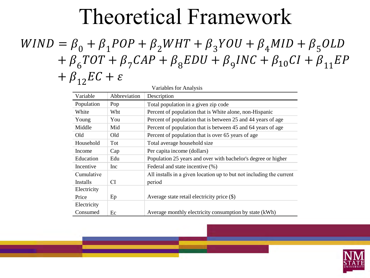#### Theoretical Framework

#### $WIND = \beta_0 + \beta_1 POP + \beta_2 WHT + \beta_3 YOU + \beta_4 MID + \beta_5 OLD$  $+\ \beta_6TOT + \beta_7CAP + \beta_8EDU + \beta_9INC + \beta_{10}CI + \beta_{11}EP$  $+ \beta_{12} EC + \varepsilon$

| Variables for Analysis |              |                                                                      |  |  |
|------------------------|--------------|----------------------------------------------------------------------|--|--|
| Variable               | Abbreviation | Description                                                          |  |  |
| Population             | Pop          | Total population in a given zip code                                 |  |  |
| White                  | Wht          | Percent of population that is White alone, non-Hispanic              |  |  |
| Young                  | You          | Percent of population that is between 25 and 44 years of age         |  |  |
| Middle                 | Mid          | Percent of population that is between 45 and 64 years of age         |  |  |
| Old                    | Old          | Percent of population that is over 65 years of age                   |  |  |
| Household              | Tot          | Total average household size                                         |  |  |
| Income                 | Cap          | Per capita income (dollars)                                          |  |  |
| Education              | Edu          | Population 25 years and over with bachelor's degree or higher        |  |  |
| Incentive              | Inc.         | Federal and state incentive (%)                                      |  |  |
| Cumulative             |              | All installs in a given location up to but not including the current |  |  |
| <i>Installs</i>        | CI.          | period                                                               |  |  |
| Electricity            |              |                                                                      |  |  |
| Price                  | Ep           | Average state retail electricity price $(\$)$                        |  |  |
| Electricity            |              |                                                                      |  |  |
| Consumed               | Ec           | Average monthly electricity consumption by state (kWh)               |  |  |

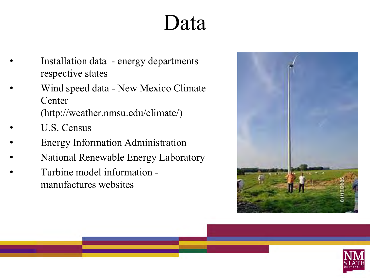#### Data

- Installation data energy departments respective states
- Wind speed data New Mexico Climate **Center**

(http://weather.nmsu.edu/climate/)

- U.S. Census
- Energy Information Administration
- National Renewable Energy Laboratory
- Turbine model information manufactures websites



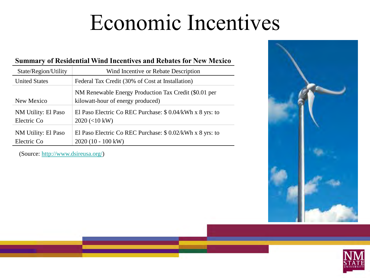### Economic Incentives

#### **Summary of Residential Wind Incentives and Rebates for New Mexico**

| State/Region/Utility               | Wind Incentive or Rebate Description                                                                              |
|------------------------------------|-------------------------------------------------------------------------------------------------------------------|
| <b>United States</b>               | Federal Tax Credit (30% of Cost at Installation)                                                                  |
| New Mexico                         | NM Renewable Energy Production Tax Credit (\$0.01 per<br>kilowatt-hour of energy produced)                        |
| NM Utility: El Paso<br>Electric Co | El Paso Electric Co REC Purchase: $$ 0.04/kWh \times 8 \text{ yrs}$ : to<br>$2020 \left( < 10 \text{ kW} \right)$ |
| NM Utility: El Paso<br>Electric Co | El Paso Electric Co REC Purchase: $$ 0.02/kWh \times 8 \text{ yrs}$ : to<br>$2020(10 - 100 \text{ kW})$           |

(Source: <http://www.dsireusa.org/>)